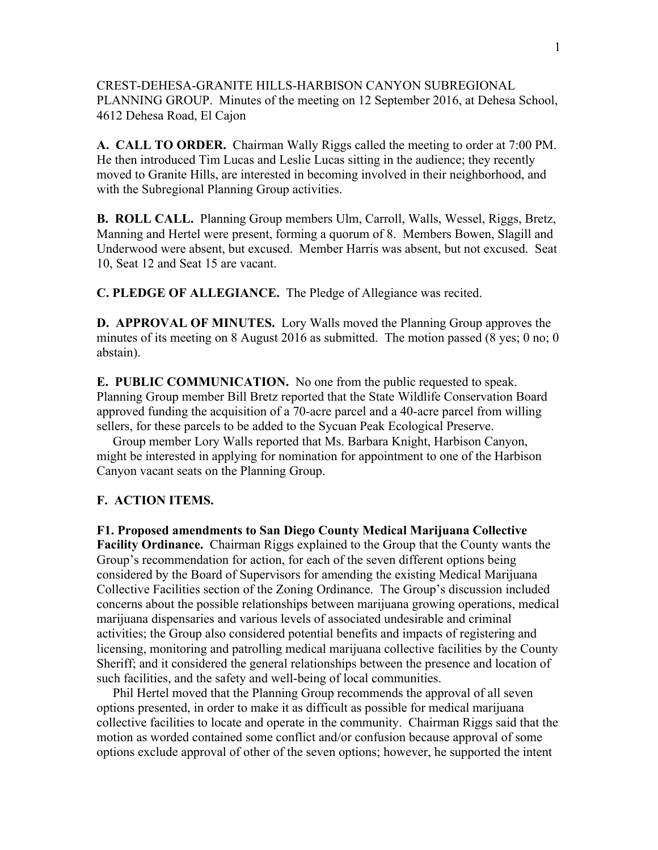CREST-DEHESA-GRANITE HILLS-HARBISON CANYON SUBREGIONAL PLANNING GROUP. Minutes of the meeting on 12 September 2016, at Dehesa School, 4612 Dehesa Road, El Cajon

**A. CALL TO ORDER.** Chairman Wally Riggs called the meeting to order at 7:00 PM. He then introduced Tim Lucas and Leslie Lucas sitting in the audience; they recently moved to Granite Hills, are interested in becoming involved in their neighborhood, and with the Subregional Planning Group activities.

**B. ROLL CALL.** Planning Group members Ulm, Carroll, Walls, Wessel, Riggs, Bretz, Manning and Hertel were present, forming a quorum of 8. Members Bowen, Slagill and Underwood were absent, but excused. Member Harris was absent, but not excused. Seat 10, Seat 12 and Seat 15 are vacant.

**C. PLEDGE OF ALLEGIANCE.** The Pledge of Allegiance was recited.

**D. APPROVAL OF MINUTES.** Lory Walls moved the Planning Group approves the minutes of its meeting on 8 August 2016 as submitted. The motion passed (8 yes; 0 no; 0 abstain).

**E. PUBLIC COMMUNICATION.** No one from the public requested to speak. Planning Group member Bill Bretz reported that the State Wildlife Conservation Board approved funding the acquisition of a 70-acre parcel and a 40-acre parcel from willing sellers, for these parcels to be added to the Sycuan Peak Ecological Preserve.

 Group member Lory Walls reported that Ms. Barbara Knight, Harbison Canyon, might be interested in applying for nomination for appointment to one of the Harbison Canyon vacant seats on the Planning Group.

## **F. ACTION ITEMS.**

**F1. Proposed amendments to San Diego County Medical Marijuana Collective Facility Ordinance.** Chairman Riggs explained to the Group that the County wants the Group's recommendation for action, for each of the seven different options being considered by the Board of Supervisors for amending the existing Medical Marijuana Collective Facilities section of the Zoning Ordinance. The Group's discussion included concerns about the possible relationships between marijuana growing operations, medical marijuana dispensaries and various levels of associated undesirable and criminal activities; the Group also considered potential benefits and impacts of registering and licensing, monitoring and patrolling medical marijuana collective facilities by the County Sheriff; and it considered the general relationships between the presence and location of such facilities, and the safety and well-being of local communities.

 Phil Hertel moved that the Planning Group recommends the approval of all seven options presented, in order to make it as difficult as possible for medical marijuana collective facilities to locate and operate in the community. Chairman Riggs said that the motion as worded contained some conflict and/or confusion because approval of some options exclude approval of other of the seven options; however, he supported the intent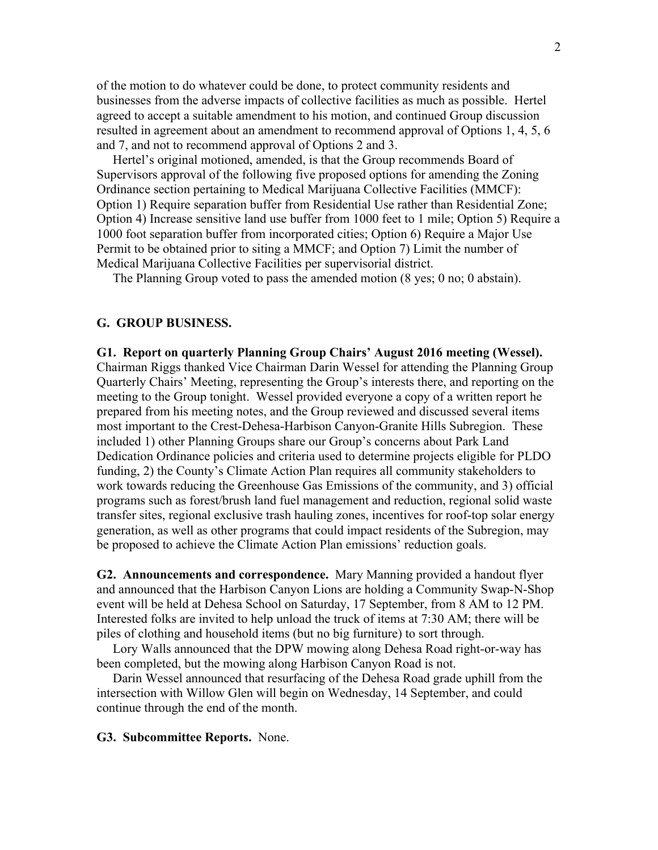of the motion to do whatever could be done, to protect community residents and businesses from the adverse impacts of collective facilities as much as possible. Hertel agreed to accept a suitable amendment to his motion, and continued Group discussion resulted in agreement about an amendment to recommend approval of Options 1, 4, 5, 6 and 7, and not to recommend approval of Options 2 and 3.

 Hertel's original motioned, amended, is that the Group recommends Board of Supervisors approval of the following five proposed options for amending the Zoning Ordinance section pertaining to Medical Marijuana Collective Facilities (MMCF): Option 1) Require separation buffer from Residential Use rather than Residential Zone; Option 4) Increase sensitive land use buffer from 1000 feet to 1 mile; Option 5) Require a 1000 foot separation buffer from incorporated cities; Option 6) Require a Major Use Permit to be obtained prior to siting a MMCF; and Option 7) Limit the number of Medical Marijuana Collective Facilities per supervisorial district.

The Planning Group voted to pass the amended motion (8 yes; 0 no; 0 abstain).

## **G. GROUP BUSINESS.**

**G1. Report on quarterly Planning Group Chairs' August 2016 meeting (Wessel).** Chairman Riggs thanked Vice Chairman Darin Wessel for attending the Planning Group Quarterly Chairs' Meeting, representing the Group's interests there, and reporting on the meeting to the Group tonight. Wessel provided everyone a copy of a written report he prepared from his meeting notes, and the Group reviewed and discussed several items most important to the Crest-Dehesa-Harbison Canyon-Granite Hills Subregion. These included 1) other Planning Groups share our Group's concerns about Park Land Dedication Ordinance policies and criteria used to determine projects eligible for PLDO funding, 2) the County's Climate Action Plan requires all community stakeholders to work towards reducing the Greenhouse Gas Emissions of the community, and 3) official programs such as forest/brush land fuel management and reduction, regional solid waste transfer sites, regional exclusive trash hauling zones, incentives for roof-top solar energy generation, as well as other programs that could impact residents of the Subregion, may be proposed to achieve the Climate Action Plan emissions' reduction goals.

**G2. Announcements and correspondence.** Mary Manning provided a handout flyer and announced that the Harbison Canyon Lions are holding a Community Swap-N-Shop event will be held at Dehesa School on Saturday, 17 September, from 8 AM to 12 PM. Interested folks are invited to help unload the truck of items at 7:30 AM; there will be piles of clothing and household items (but no big furniture) to sort through.

 Lory Walls announced that the DPW mowing along Dehesa Road right-or-way has been completed, but the mowing along Harbison Canyon Road is not.

 Darin Wessel announced that resurfacing of the Dehesa Road grade uphill from the intersection with Willow Glen will begin on Wednesday, 14 September, and could continue through the end of the month.

## **G3. Subcommittee Reports.** None.